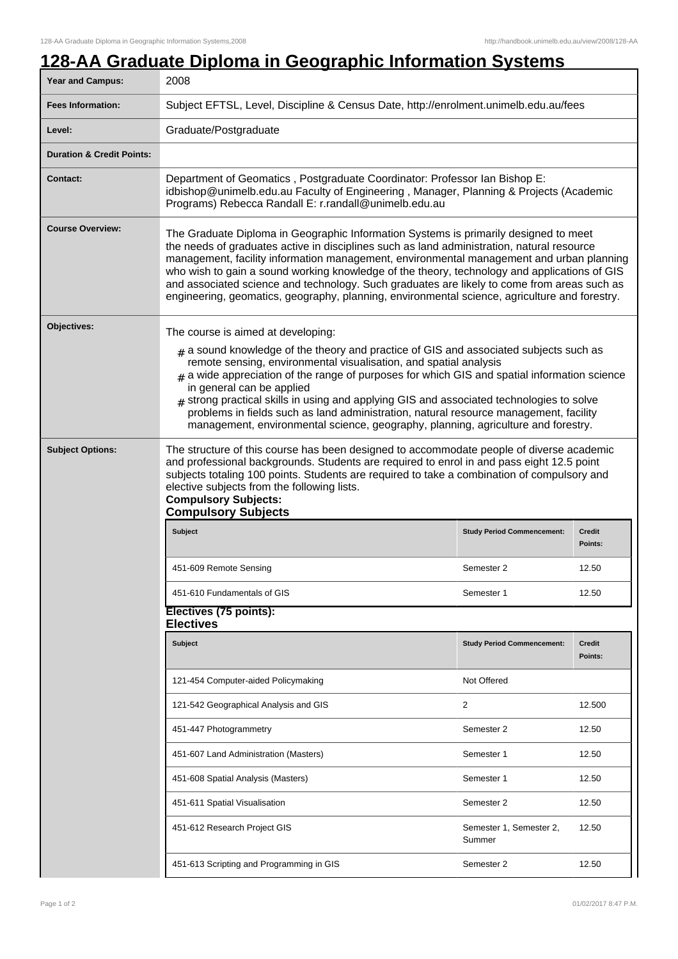## **128-AA Graduate Diploma in Geographic Information Systems**

| Year and Campus:                     | 2008                                                                                                                                                                                                                                                                                                                                                                                                                                                                                                                                                                                                                   |                                   |                   |  |
|--------------------------------------|------------------------------------------------------------------------------------------------------------------------------------------------------------------------------------------------------------------------------------------------------------------------------------------------------------------------------------------------------------------------------------------------------------------------------------------------------------------------------------------------------------------------------------------------------------------------------------------------------------------------|-----------------------------------|-------------------|--|
| <b>Fees Information:</b>             | Subject EFTSL, Level, Discipline & Census Date, http://enrolment.unimelb.edu.au/fees                                                                                                                                                                                                                                                                                                                                                                                                                                                                                                                                   |                                   |                   |  |
| Level:                               | Graduate/Postgraduate                                                                                                                                                                                                                                                                                                                                                                                                                                                                                                                                                                                                  |                                   |                   |  |
| <b>Duration &amp; Credit Points:</b> |                                                                                                                                                                                                                                                                                                                                                                                                                                                                                                                                                                                                                        |                                   |                   |  |
| <b>Contact:</b>                      | Department of Geomatics, Postgraduate Coordinator: Professor Ian Bishop E:<br>idbishop@unimelb.edu.au Faculty of Engineering, Manager, Planning & Projects (Academic<br>Programs) Rebecca Randall E: r.randall@unimelb.edu.au                                                                                                                                                                                                                                                                                                                                                                                          |                                   |                   |  |
| <b>Course Overview:</b>              | The Graduate Diploma in Geographic Information Systems is primarily designed to meet<br>the needs of graduates active in disciplines such as land administration, natural resource<br>management, facility information management, environmental management and urban planning<br>who wish to gain a sound working knowledge of the theory, technology and applications of GIS<br>and associated science and technology. Such graduates are likely to come from areas such as<br>engineering, geomatics, geography, planning, environmental science, agriculture and forestry.                                         |                                   |                   |  |
| Objectives:                          | The course is aimed at developing:<br>$_{\text{\#}}$ a sound knowledge of the theory and practice of GIS and associated subjects such as<br>remote sensing, environmental visualisation, and spatial analysis<br>$#$ a wide appreciation of the range of purposes for which GIS and spatial information science<br>in general can be applied<br># strong practical skills in using and applying GIS and associated technologies to solve<br>problems in fields such as land administration, natural resource management, facility<br>management, environmental science, geography, planning, agriculture and forestry. |                                   |                   |  |
| <b>Subject Options:</b>              | The structure of this course has been designed to accommodate people of diverse academic<br>and professional backgrounds. Students are required to enrol in and pass eight 12.5 point<br>subjects totaling 100 points. Students are required to take a combination of compulsory and<br>elective subjects from the following lists.<br><b>Compulsory Subjects:</b><br><b>Compulsory Subjects</b><br><b>Subject</b><br><b>Study Period Commencement:</b><br><b>Credit</b>                                                                                                                                               |                                   |                   |  |
|                                      |                                                                                                                                                                                                                                                                                                                                                                                                                                                                                                                                                                                                                        |                                   | Points:           |  |
|                                      |                                                                                                                                                                                                                                                                                                                                                                                                                                                                                                                                                                                                                        |                                   |                   |  |
|                                      | 451-609 Remote Sensing                                                                                                                                                                                                                                                                                                                                                                                                                                                                                                                                                                                                 | Semester 2                        | 12.50             |  |
|                                      | 451-610 Fundamentals of GIS                                                                                                                                                                                                                                                                                                                                                                                                                                                                                                                                                                                            | Semester 1                        | 12.50             |  |
|                                      | Electives (75 points):<br><b>Electives</b>                                                                                                                                                                                                                                                                                                                                                                                                                                                                                                                                                                             |                                   |                   |  |
|                                      | <b>Subject</b>                                                                                                                                                                                                                                                                                                                                                                                                                                                                                                                                                                                                         | <b>Study Period Commencement:</b> | Credit<br>Points: |  |
|                                      | 121-454 Computer-aided Policymaking                                                                                                                                                                                                                                                                                                                                                                                                                                                                                                                                                                                    | Not Offered                       |                   |  |
|                                      | 121-542 Geographical Analysis and GIS                                                                                                                                                                                                                                                                                                                                                                                                                                                                                                                                                                                  | 2                                 | 12.500            |  |
|                                      | 451-447 Photogrammetry                                                                                                                                                                                                                                                                                                                                                                                                                                                                                                                                                                                                 | Semester 2                        | 12.50             |  |
|                                      | 451-607 Land Administration (Masters)                                                                                                                                                                                                                                                                                                                                                                                                                                                                                                                                                                                  | Semester 1                        | 12.50             |  |
|                                      | 451-608 Spatial Analysis (Masters)                                                                                                                                                                                                                                                                                                                                                                                                                                                                                                                                                                                     | Semester 1                        | 12.50             |  |
|                                      | 451-611 Spatial Visualisation                                                                                                                                                                                                                                                                                                                                                                                                                                                                                                                                                                                          | Semester 2                        | 12.50             |  |
|                                      | 451-612 Research Project GIS                                                                                                                                                                                                                                                                                                                                                                                                                                                                                                                                                                                           | Semester 1, Semester 2,<br>Summer | 12.50             |  |